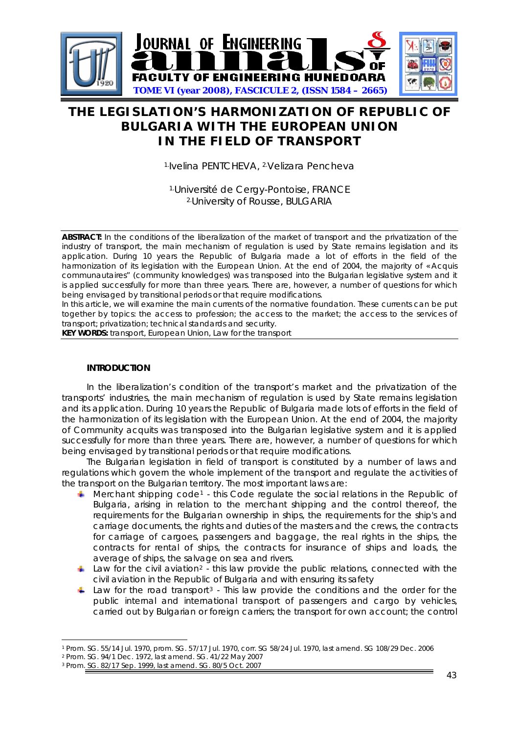

# **THE LEGISLATION'S HARMONIZATION OF REPUBLIC OF BULGARIA WITH THE EUROPEAN UNION IN THE FIELD OF TRANSPORT**

1.Ivelina PENTCHEVA, 2.Velizara Pencheva

1.Université de Cergy-Pontoise, FRANCE 2.University of Rousse, BULGARIA

**ABSTRACT:** In the conditions of the liberalization of the market of transport and the privatization of the industry of transport, the main mechanism of regulation is used by State remains legislation and its application. During 10 years the Republic of Bulgaria made a lot of efforts in the field of the harmonization of its legislation with the European Union. At the end of 2004, the majority of « Acquis communautaires" (community knowledges) was transposed into the Bulgarian legislative system and it is applied successfully for more than three years. There are, however, a number of questions for which being envisaged by transitional periods or that require modifications.

In this article, we will examine the main currents of the normative foundation. These currents can be put together by topics: the access to profession; the access to the market; the access to the services of transport; privatization; technical standards and security.

**KEY WORDS:** transport, European Union, Law for the transport

### **INTRODUCTION**

In the liberalization's condition of the transport's market and the privatization of the transports' industries, the main mechanism of regulation is used by State remains legislation and its application. During 10 years the Republic of Bulgaria made lots of efforts in the field of the harmonization of its legislation with the European Union. At the end of 2004, the majority of Community acquits was transposed into the Bulgarian legislative system and it is applied successfully for more than three years. There are, however, a number of questions for which being envisaged by transitional periods or that require modifications.

The Bulgarian legislation in field of transport is constituted by a number of laws and regulations which govern the whole implement of the transport and regulate the activities of the transport on the Bulgarian territory. The most important laws are:

- Merchant shipping code[1](#page-0-0) this Code regulate the social relations in the Republic of Bulgaria, arising in relation to the merchant shipping and the control thereof, the requirements for the Bulgarian ownership in ships, the requirements for the ship's and carriage documents, the rights and duties of the masters and the crews, the contracts for carriage of cargoes, passengers and baggage, the real rights in the ships, the contracts for rental of ships, the contracts for insurance of ships and loads, the average of ships, the salvage on sea and rivers.
- $\perp$  Law for the civil aviation<sup>[2](#page-0-1)</sup> this law provide the public relations, connected with the civil aviation in the Republic of Bulgaria and with ensuring its safety
- Law for the road transport<sup>[3](#page-0-2)</sup> This law provide the conditions and the order for the public internal and international transport of passengers and cargo by vehicles, carried out by Bulgarian or foreign carriers; the transport for own account; the control

<span id="page-0-0"></span><sup>-</sup>1 Prom. SG. 55/14 Jul. 1970, prom. SG. 57/17 Jul. 1970, corr. SG 58/24 Jul. 1970, last amend. SG 108/29 Dec. 2006 2 Prom. SG. 94/1 Dec. 1972, last amend. SG. 41/22 May 2007

<span id="page-0-2"></span><span id="page-0-1"></span><sup>3</sup> Prom. SG. 82/17 Sep. 1999, last amend. SG. 80/5 Oct. 2007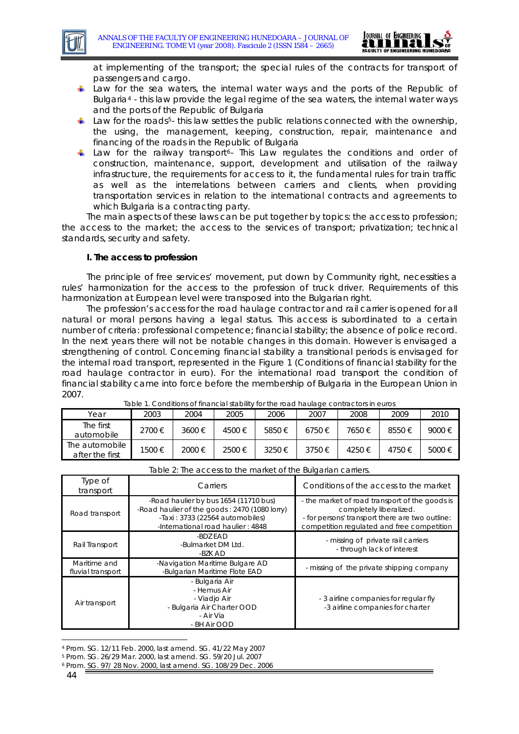

at implementing of the transport; the special rules of the contracts for transport of passengers and cargo.

- Law for the sea waters, the internal water ways and the ports of the Republic of Bulgaria[4](#page-1-0) - this law provide the legal regime of the sea waters, the internal water ways and the ports of the Republic of Bulgaria
- Law for the roads<sup>[5](#page-1-1)</sup>- this law settles the public relations connected with the ownership, the using, the management, keeping, construction, repair, maintenance and financing of the roads in the Republic of Bulgaria.
- Law for the railway transport<sup>[6](#page-1-2)</sup>- This Law regulates the conditions and order of construction, maintenance, support, development and utilisation of the railway infrastructure, the requirements for access to it, the fundamental rules for train traffic as well as the interrelations between carriers and clients, when providing transportation services in relation to the international contracts and agreements to which Bulgaria is a contracting party.

The main aspects of these laws can be put together by topics: the access to profession; the access to the market; the access to the services of transport; privatization; technical standards, security and safety.

#### **I. The access to profession**

The principle of free services' movement, put down by Community right, necessities a rules' harmonization for the access to the profession of truck driver. Requirements of this harmonization at European level were transposed into the Bulgarian right.

The profession's access for the road haulage contractor and rail carrier is opened for all natural or moral persons having a legal status. This access is subordinated to a certain number of criteria: professional competence; financial stability; the absence of police record. In the next years there will not be notable changes in this domain. However is envisaged a strengthening of control. Concerning financial stability a transitional periods is envisaged for the internal road transport, represented in the Figure 1 (Conditions of financial stability for the road haulage contractor in euro). For the international road transport the condition of financial stability came into force before the membership of Bulgaria in the European Union in 2007. Table 1. Conditions of financial stability for the road haulage contractors in euros

| Table 1. Conditions of illiaricial stability for the road haulage contractors in euros |        |        |       |            |            |       |       |        |  |  |
|----------------------------------------------------------------------------------------|--------|--------|-------|------------|------------|-------|-------|--------|--|--|
| Year                                                                                   | 2003   | 2004   | 2005  | 2006       | 2007       | 2008  | 2009  | 2010   |  |  |
| The first<br>automobile                                                                | 2700€  | 3600€  | 4500€ | 5850€      | $6750 \in$ | 7650€ | 8550€ | 9000€  |  |  |
| The automobile<br>after the first                                                      | 1500 € | 2000 € | 2500€ | $3250 \in$ | 3750€      | 4250€ | 4750€ | 5000 € |  |  |

| Table 2: The access to the market of the Bulgarian carriers. |                                                                                                                                                                   |                                                                                                                                                                            |  |  |  |  |
|--------------------------------------------------------------|-------------------------------------------------------------------------------------------------------------------------------------------------------------------|----------------------------------------------------------------------------------------------------------------------------------------------------------------------------|--|--|--|--|
| Type of<br>transport                                         | Carriers                                                                                                                                                          | Conditions of the access to the market                                                                                                                                     |  |  |  |  |
| Road transport                                               | -Road haulier by bus 1654 (11710 bus)<br>-Road haulier of the goods: 2470 (1080 lorry)<br>$-$ Taxi: 3733 (22564 automobiles)<br>-International road haulier: 4848 | - the market of road transport of the goods is<br>completely liberalized.<br>- for persons' transport there are two outline:<br>competition regulated and free competition |  |  |  |  |
| Rail Transport                                               | -BDZ FAD<br>-Bulmarket DM Ltd.<br>-BZK AD                                                                                                                         | - missing of private rail carriers<br>- through lack of interest                                                                                                           |  |  |  |  |
| Maritime and<br>fluvial transport                            | -Navigation Maritime Bulgare AD<br>-Bulgarian Maritime Flote EAD                                                                                                  | - missing of the private shipping company                                                                                                                                  |  |  |  |  |
| Air transport                                                | - Bulgaria Air<br>- Hemus Air<br>- Viadjo Air<br>- Bulgaria Air Charter OOD<br>- Air Via<br>- BH Air OOD                                                          | - 3 airline companies for regular fly<br>-3 airline companies for charter                                                                                                  |  |  |  |  |

|  | Table 2: The access to the market of the Bulgarian carriers. |  |
|--|--------------------------------------------------------------|--|
|  |                                                              |  |
|  |                                                              |  |
|  |                                                              |  |

<sup>-</sup>4 Prom. SG. 12/11 Feb. 2000, last amend. SG. 41/22 May 2007

<span id="page-1-1"></span><span id="page-1-0"></span><sup>5</sup> Prom. SG. 26/29 Mar. 2000, last amend. SG. 59/20 Jul. 2007

<span id="page-1-2"></span><sup>6</sup> Prom. SG. 97/ 28 Nov. 2000, last amend. SG. 108/29 Dec. 2006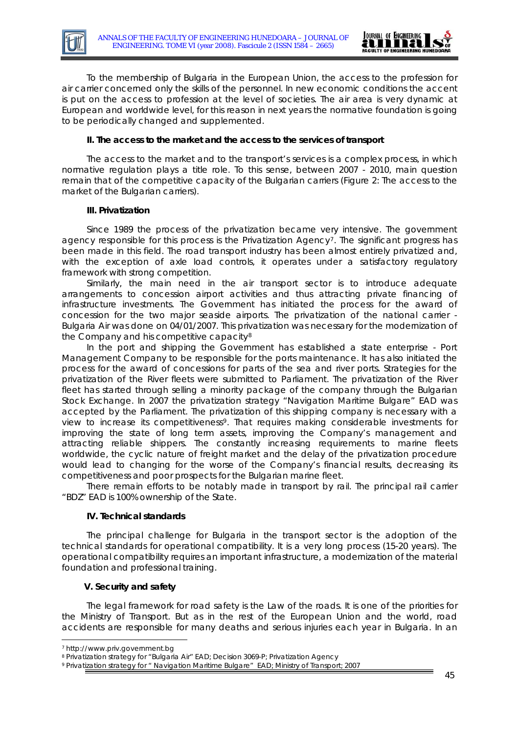

To the membership of Bulgaria in the European Union, the access to the profession for air carrier concerned only the skills of the personnel. In new economic conditions the accent is put on the access to profession at the level of societies. The air area is very dynamic at European and worldwide level, for this reason in next years the normative foundation is going to be periodically changed and supplemented.

## **II. The access to the market and the access to the services of transport**

The access to the market and to the transport's services is a complex process, in which normative regulation plays a title role. To this sense, between 2007 - 2010, main question remain that of the competitive capacity of the Bulgarian carriers (Figure 2: The access to the market of the Bulgarian carriers).

#### **III. Privatization**

Since 1989 the process of the privatization became very intensive. The government agency responsible for this process is the Privatization Agency<sup>[7](#page-2-0)</sup>. The significant progress has been made in this field. The road transport industry has been almost entirely privatized and, with the exception of axle load controls, it operates under a satisfactory regulatory framework with strong competition.

Similarly, the main need in the air transport sector is to introduce adequate arrangements to concession airport activities and thus attracting private financing of infrastructure investments. The Government has initiated the process for the award of concession for the two major seaside airports. The privatization of the national carrier - Bulgaria Air was done on 04/01/2007. This privatization was necessary for the modernization of the Company and his competitive capacity<sup>[8](#page-2-1)</sup>

In the port and shipping the Government has established a state enterprise - Port Management Company to be responsible for the ports maintenance. It has also initiated the process for the award of concessions for parts of the sea and river ports. Strategies for the privatization of the River fleets were submitted to Parliament. The privatization of the River fleet has started through selling a minority package of the company through the Bulgarian Stock Exchange. In 2007 the privatization strategy "Navigation Maritime Bulgare" EAD was accepted by the Parliament. The privatization of this shipping company is necessary with a view to increase its competitiveness[9](#page-2-2). That requires making considerable investments for improving the state of long term assets, improving the Company's management and attracting reliable shippers. The constantly increasing requirements to marine fleets worldwide, the cyclic nature of freight market and the delay of the privatization procedure would lead to changing for the worse of the Company's financial results, decreasing its competitiveness and poor prospects for the Bulgarian marine fleet.

There remain efforts to be notably made in transport by rail. The principal rail carrier "BDZ" EAD is 100% ownership of the State.

#### **IV. Technical standards**

The principal challenge for Bulgaria in the transport sector is the adoption of the technical standards for operational compatibility. It is a very long process (15-20 years). The operational compatibility requires an important infrastructure, a modernization of the material foundation and professional training.

## **V. Security and safety**

The legal framework for road safety is the Law of the roads. It is one of the priorities for the Ministry of Transport. But as in the rest of the European Union and the world, road accidents are responsible for many deaths and serious injuries each year in Bulgaria. In an

<sup>-</sup>

<span id="page-2-1"></span><span id="page-2-0"></span><sup>&</sup>lt;sup>7</sup> http://www.priv.government.bg<br><sup>8</sup> Privatization strategy for "Bulgaria Air" EAD; Decision 3069-P; Privatization Agency

<span id="page-2-2"></span><sup>9</sup> Privatization strategy for " Navigation Maritime Bulgare" EAD; Ministry of Transport; 2007